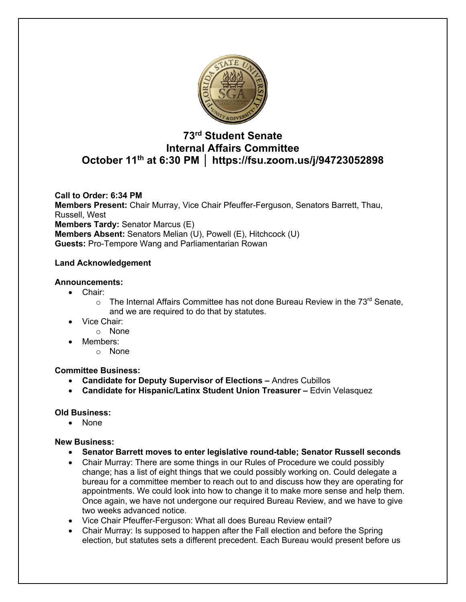

# **73rd Student Senate Internal Affairs Committee October 11th at 6:30 PM │ https://fsu.zoom.us/j/94723052898**

# **Call to Order: 6:34 PM**

**Members Present:** Chair Murray, Vice Chair Pfeuffer-Ferguson, Senators Barrett, Thau, Russell, West **Members Tardy:** Senator Marcus (E) **Members Absent:** Senators Melian (U), Powell (E), Hitchcock (U) **Guests:** Pro-Tempore Wang and Parliamentarian Rowan

# **Land Acknowledgement**

#### **Announcements:**

- Chair:
	- $\circ$  The Internal Affairs Committee has not done Bureau Review in the 73<sup>rd</sup> Senate, and we are required to do that by statutes.
- Vice Chair:
	- o None
- Members:
	- o None

#### **Committee Business:**

- **Candidate for Deputy Supervisor of Elections –** Andres Cubillos
- **Candidate for Hispanic/Latinx Student Union Treasurer –** Edvin Velasquez

#### **Old Business:**

• None

# **New Business:**

- **Senator Barrett moves to enter legislative round-table; Senator Russell seconds**
- Chair Murray: There are some things in our Rules of Procedure we could possibly change; has a list of eight things that we could possibly working on. Could delegate a bureau for a committee member to reach out to and discuss how they are operating for appointments. We could look into how to change it to make more sense and help them. Once again, we have not undergone our required Bureau Review, and we have to give two weeks advanced notice.
- Vice Chair Pfeuffer-Ferguson: What all does Bureau Review entail?
- Chair Murray: Is supposed to happen after the Fall election and before the Spring election, but statutes sets a different precedent. Each Bureau would present before us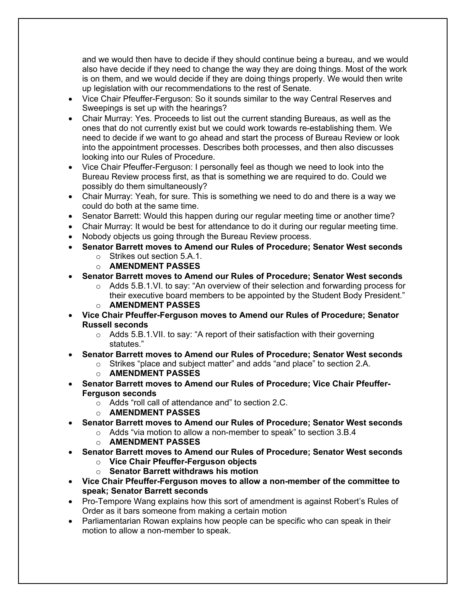and we would then have to decide if they should continue being a bureau, and we would also have decide if they need to change the way they are doing things. Most of the work is on them, and we would decide if they are doing things properly. We would then write up legislation with our recommendations to the rest of Senate.

- Vice Chair Pfeuffer-Ferguson: So it sounds similar to the way Central Reserves and Sweepings is set up with the hearings?
- Chair Murray: Yes. Proceeds to list out the current standing Bureaus, as well as the ones that do not currently exist but we could work towards re-establishing them. We need to decide if we want to go ahead and start the process of Bureau Review or look into the appointment processes. Describes both processes, and then also discusses looking into our Rules of Procedure.
- Vice Chair Pfeuffer-Ferguson: I personally feel as though we need to look into the Bureau Review process first, as that is something we are required to do. Could we possibly do them simultaneously?
- Chair Murray: Yeah, for sure. This is something we need to do and there is a way we could do both at the same time.
- Senator Barrett: Would this happen during our regular meeting time or another time?
- Chair Murray: It would be best for attendance to do it during our regular meeting time.
- Nobody objects us going through the Bureau Review process.
- **Senator Barrett moves to Amend our Rules of Procedure; Senator West seconds**
	- o Strikes out section 5.A.1.
	- o **AMENDMENT PASSES**
- **Senator Barrett moves to Amend our Rules of Procedure; Senator West seconds**
	- $\circ$  Adds 5.B.1.VI. to say: "An overview of their selection and forwarding process for their executive board members to be appointed by the Student Body President."
	- o **AMENDMENT PASSES**
- **Vice Chair Pfeuffer-Ferguson moves to Amend our Rules of Procedure; Senator Russell seconds**
	- $\circ$  Adds 5.B.1.VII. to say: "A report of their satisfaction with their governing statutes."
- **Senator Barrett moves to Amend our Rules of Procedure; Senator West seconds**
	- o Strikes "place and subject matter" and adds "and place" to section 2.A.
	- o **AMENDMENT PASSES**
- **Senator Barrett moves to Amend our Rules of Procedure; Vice Chair Pfeuffer-Ferguson seconds**
	- o Adds "roll call of attendance and" to section 2.C.
	- o **AMENDMENT PASSES**
- **Senator Barrett moves to Amend our Rules of Procedure; Senator West seconds**
	- o Adds "via motion to allow a non-member to speak" to section 3.B.4
		- o **AMENDMENT PASSES**
- **Senator Barrett moves to Amend our Rules of Procedure; Senator West seconds**
	- o **Vice Chair Pfeuffer-Ferguson objects**
	- o **Senator Barrett withdraws his motion**
- **Vice Chair Pfeuffer-Ferguson moves to allow a non-member of the committee to speak; Senator Barrett seconds**
- Pro-Tempore Wang explains how this sort of amendment is against Robert's Rules of Order as it bars someone from making a certain motion
- Parliamentarian Rowan explains how people can be specific who can speak in their motion to allow a non-member to speak.